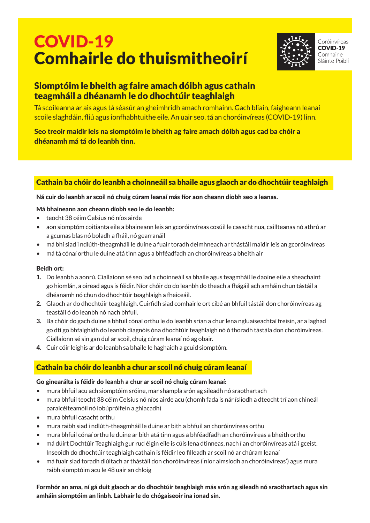# COVID-19 Comhairle do thuismitheoirí



Coróinvíreas **COVID-19** Comhairle Sláinte Poiblí

## Siomptóim le bheith ag faire amach dóibh agus cathain teagmháil a dhéanamh le do dhochtúir teaghlaigh

Tá scoileanna ar ais agus tá séasúr an gheimhridh amach romhainn. Gach bliain, faigheann leanaí scoile slaghdáin, fliú agus ionfhabhtuithe eile. An uair seo, tá an choróinvíreas (COVID-19) linn.

Seo treoir maidir leis na siomptóim le bheith ag faire amach dóibh agus cad ba chóir a dhéanamh má tá do leanbh tinn.

### Cathain ba chóir do leanbh a choinneáil sa bhaile agus glaoch ar do dhochtúir teaghlaigh

#### Ná cuir do leanbh ar scoil nó chuig cúram leanaí más fíor aon cheann díobh seo a leanas.

#### Má bhaineann aon cheann díobh seo le do leanbh:

- • teocht 38 céim Celsius nó níos airde
- • aon siomptóm coitianta eile a bhaineann leis an gcoróinvíreas cosúil le casacht nua, caillteanas nó athrú ar a gcumas blas nó boladh a fháil, nó gearranáil
- • má bhí siad i ndlúth-theagmháil le duine a fuair toradh deimhneach ar thástáil maidir leis an gcoróinvíreas
- • má tá cónaí orthu le duine atá tinn agus a bhféadfadh an choróinvíreas a bheith air

#### Beidh ort:

- 1. Do leanbh a aonrú. Ciallaíonn sé seo iad a choinneáil sa bhaile agus teagmháil le daoine eile a sheachaint go hiomlán, a oiread agus is féidir. Níor chóir do do leanbh do theach a fhágáil ach amháin chun tástáil a dhéanamh nó chun do dhochtúir teaghlaigh a fheiceáil.
- 2. Glaoch ar do dhochtúir teaghlaigh. Cuirfidh siad comhairle ort cibé an bhfuil tástáil don choróinvíreas ag teastáil ó do leanbh nó nach bhfuil.
- **3.** Ba chóir do gach duine a bhfuil cónaí orthu le do leanbh srian a chur lena ngluaiseachtaí freisin, ar a laghad go dtí go bhfaighidh do leanbh diagnóis óna dhochtúir teaghlaigh nó ó thoradh tástála don choróinvíreas. Ciallaíonn sé sin gan dul ar scoil, chuig cúram leanaí nó ag obair.
- 4. Cuir cóir leighis ar do leanbh sa bhaile le haghaidh a gcuid siomptóm.

## Cathain ba chóir do leanbh a chur ar scoil nó chuig cúram leanaí

#### Go ginearálta is féidir do leanbh a chur ar scoil nó chuig cúram leanaí:

- • mura bhfuil acu ach siomptóim sróine, mar shampla srón ag sileadh nó sraothartach
- mura bhfuil teocht 38 céim Celsius nó níos airde acu (chomh fada is nár íslíodh a dteocht trí aon chineál paraicéiteamóil nó iobúpróifein a ghlacadh)
- mura bhfuil casacht orthu
- • mura raibh siad i ndlúth-theagmháil le duine ar bith a bhfuil an choróinvíreas orthu
- • mura bhfuil cónaí orthu le duine ar bith atá tinn agus a bhféadfadh an choróinvíreas a bheith orthu
- • má dúirt Dochtúir Teaghlaigh gur rud éigin eile is cúis lena dtinneas, nach í an choróinvíreas atá i gceist. Inseoidh do dhochtúir teaghlaigh cathain is féidir leo filleadh ar scoil nó ar chúram leanaí
- • má fuair siad toradh diúltach ar thástáil don choróinvíreas ('níor aimsíodh an choróinvíreas') agus mura raibh siomptóim acu le 48 uair an chloig

#### Formhór an ama, ní gá duit glaoch ar do dhochtúir teaghlaigh más srón ag sileadh nó sraothartach agus sin amháin siomptóim an linbh. Labhair le do chógaiseoir ina ionad sin.